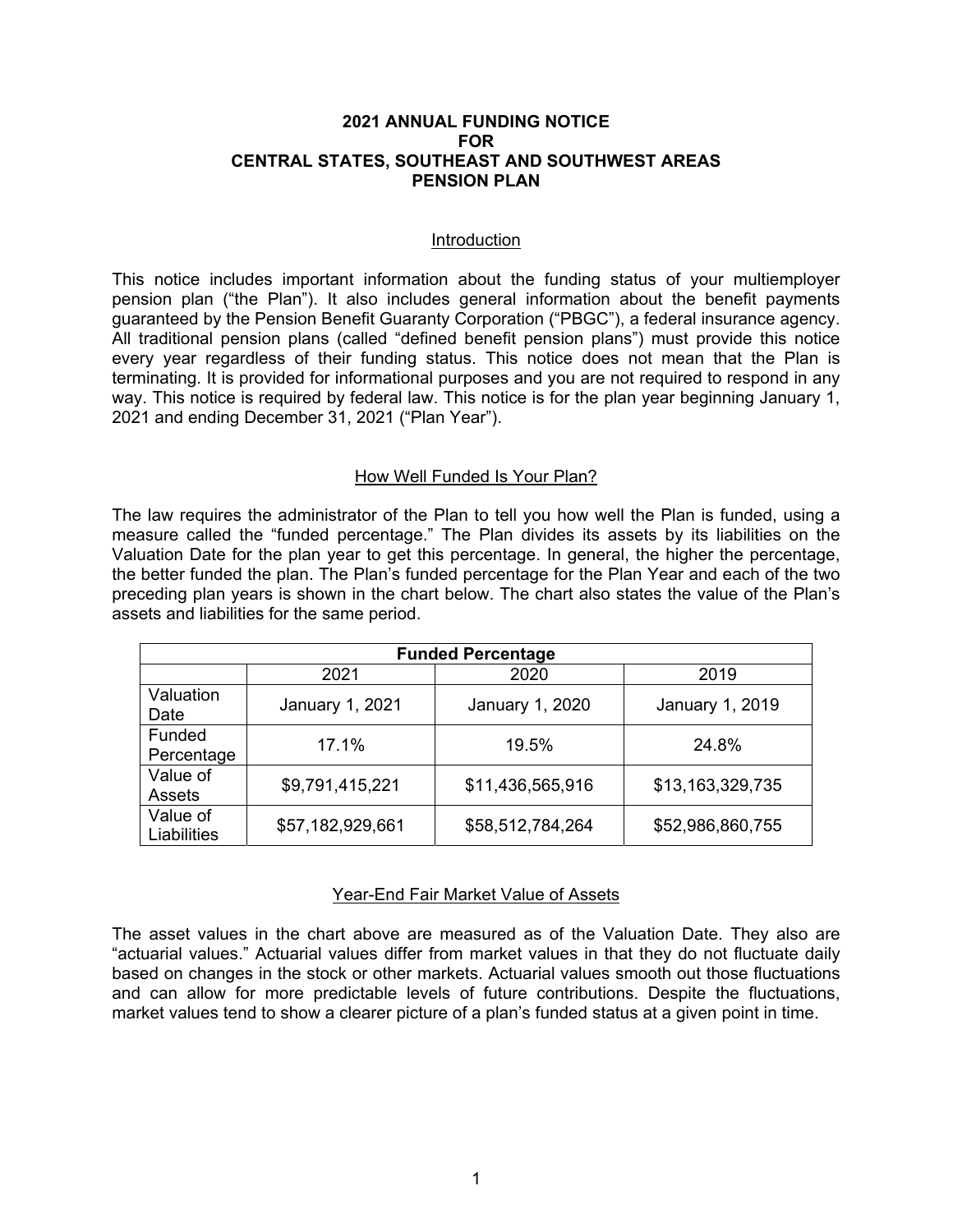#### **2021 ANNUAL FUNDING NOTICE FOR CENTRAL STATES, SOUTHEAST AND SOUTHWEST AREAS PENSION PLAN**

#### Introduction

This notice includes important information about the funding status of your multiemployer pension plan ("the Plan"). It also includes general information about the benefit payments guaranteed by the Pension Benefit Guaranty Corporation ("PBGC"), a federal insurance agency. All traditional pension plans (called "defined benefit pension plans") must provide this notice every year regardless of their funding status. This notice does not mean that the Plan is terminating. It is provided for informational purposes and you are not required to respond in any way. This notice is required by federal law. This notice is for the plan year beginning January 1, 2021 and ending December 31, 2021 ("Plan Year").

### How Well Funded Is Your Plan?

The law requires the administrator of the Plan to tell you how well the Plan is funded, using a measure called the "funded percentage." The Plan divides its assets by its liabilities on the Valuation Date for the plan year to get this percentage. In general, the higher the percentage, the better funded the plan. The Plan's funded percentage for the Plan Year and each of the two preceding plan years is shown in the chart below. The chart also states the value of the Plan's assets and liabilities for the same period.

| <b>Funded Percentage</b> |                  |                        |                        |  |  |
|--------------------------|------------------|------------------------|------------------------|--|--|
|                          | 2021             | 2020                   | 2019                   |  |  |
| Valuation<br>Date        | January 1, 2021  | <b>January 1, 2020</b> | <b>January 1, 2019</b> |  |  |
| Funded<br>Percentage     | 17.1%            | 19.5%                  | 24.8%                  |  |  |
| Value of<br>Assets       | \$9,791,415,221  | \$11,436,565,916       | \$13,163,329,735       |  |  |
| Value of<br>Liabilities  | \$57,182,929,661 | \$58,512,784,264       | \$52,986,860,755       |  |  |

# Year-End Fair Market Value of Assets

The asset values in the chart above are measured as of the Valuation Date. They also are "actuarial values." Actuarial values differ from market values in that they do not fluctuate daily based on changes in the stock or other markets. Actuarial values smooth out those fluctuations and can allow for more predictable levels of future contributions. Despite the fluctuations, market values tend to show a clearer picture of a plan's funded status at a given point in time.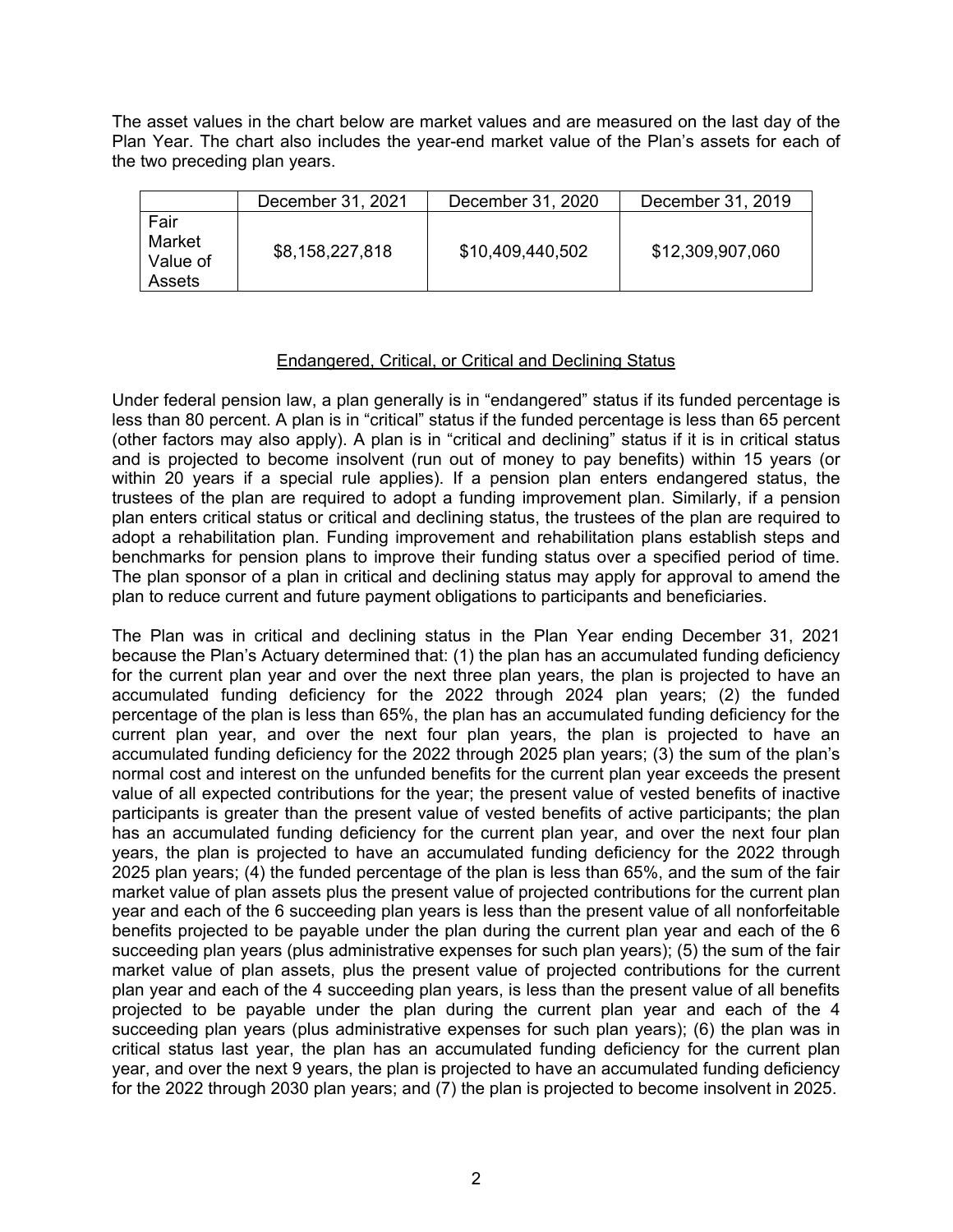The asset values in the chart below are market values and are measured on the last day of the Plan Year. The chart also includes the year-end market value of the Plan's assets for each of the two preceding plan years.

|                                      | December 31, 2021 | December 31, 2020 | December 31, 2019 |
|--------------------------------------|-------------------|-------------------|-------------------|
| Fair<br>Market<br>Value of<br>Assets | \$8,158,227,818   | \$10,409,440,502  | \$12,309,907,060  |

### Endangered, Critical, or Critical and Declining Status

Under federal pension law, a plan generally is in "endangered" status if its funded percentage is less than 80 percent. A plan is in "critical" status if the funded percentage is less than 65 percent (other factors may also apply). A plan is in "critical and declining" status if it is in critical status and is projected to become insolvent (run out of money to pay benefits) within 15 years (or within 20 years if a special rule applies). If a pension plan enters endangered status, the trustees of the plan are required to adopt a funding improvement plan. Similarly, if a pension plan enters critical status or critical and declining status, the trustees of the plan are required to adopt a rehabilitation plan. Funding improvement and rehabilitation plans establish steps and benchmarks for pension plans to improve their funding status over a specified period of time. The plan sponsor of a plan in critical and declining status may apply for approval to amend the plan to reduce current and future payment obligations to participants and beneficiaries.

The Plan was in critical and declining status in the Plan Year ending December 31, 2021 because the Plan's Actuary determined that: (1) the plan has an accumulated funding deficiency for the current plan year and over the next three plan years, the plan is projected to have an accumulated funding deficiency for the 2022 through 2024 plan years; (2) the funded percentage of the plan is less than 65%, the plan has an accumulated funding deficiency for the current plan year, and over the next four plan years, the plan is projected to have an accumulated funding deficiency for the 2022 through 2025 plan years; (3) the sum of the plan's normal cost and interest on the unfunded benefits for the current plan year exceeds the present value of all expected contributions for the year; the present value of vested benefits of inactive participants is greater than the present value of vested benefits of active participants; the plan has an accumulated funding deficiency for the current plan year, and over the next four plan years, the plan is projected to have an accumulated funding deficiency for the 2022 through 2025 plan years; (4) the funded percentage of the plan is less than 65%, and the sum of the fair market value of plan assets plus the present value of projected contributions for the current plan year and each of the 6 succeeding plan years is less than the present value of all nonforfeitable benefits projected to be payable under the plan during the current plan year and each of the 6 succeeding plan years (plus administrative expenses for such plan years); (5) the sum of the fair market value of plan assets, plus the present value of projected contributions for the current plan year and each of the 4 succeeding plan years, is less than the present value of all benefits projected to be payable under the plan during the current plan year and each of the 4 succeeding plan years (plus administrative expenses for such plan years); (6) the plan was in critical status last year, the plan has an accumulated funding deficiency for the current plan year, and over the next 9 years, the plan is projected to have an accumulated funding deficiency for the 2022 through 2030 plan years; and (7) the plan is projected to become insolvent in 2025.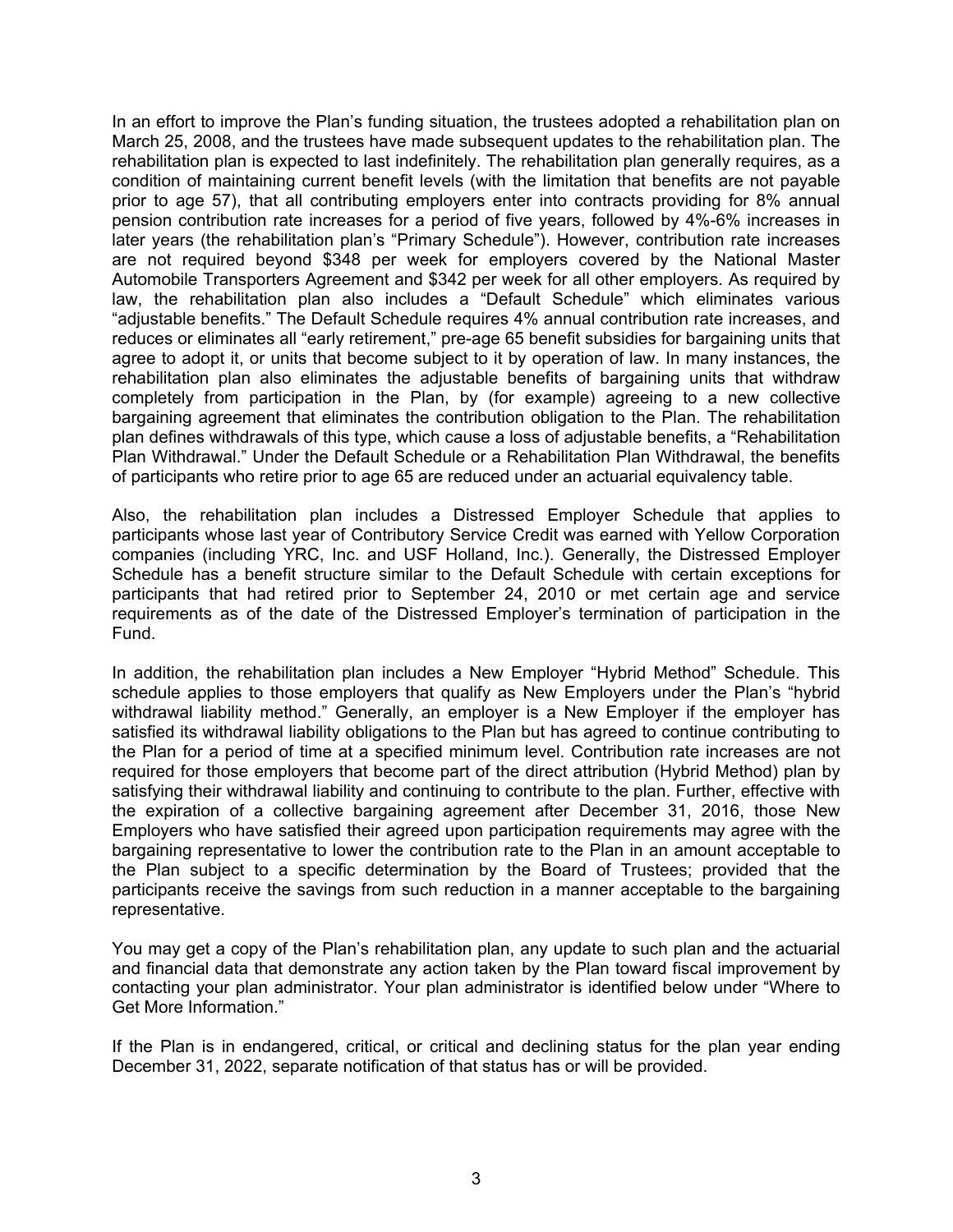In an effort to improve the Plan's funding situation, the trustees adopted a rehabilitation plan on March 25, 2008, and the trustees have made subsequent updates to the rehabilitation plan. The rehabilitation plan is expected to last indefinitely. The rehabilitation plan generally requires, as a condition of maintaining current benefit levels (with the limitation that benefits are not payable prior to age 57), that all contributing employers enter into contracts providing for 8% annual pension contribution rate increases for a period of five years, followed by 4%-6% increases in later years (the rehabilitation plan's "Primary Schedule"). However, contribution rate increases are not required beyond \$348 per week for employers covered by the National Master Automobile Transporters Agreement and \$342 per week for all other employers. As required by law, the rehabilitation plan also includes a "Default Schedule" which eliminates various "adjustable benefits." The Default Schedule requires 4% annual contribution rate increases, and reduces or eliminates all "early retirement," pre-age 65 benefit subsidies for bargaining units that agree to adopt it, or units that become subject to it by operation of law. In many instances, the rehabilitation plan also eliminates the adjustable benefits of bargaining units that withdraw completely from participation in the Plan, by (for example) agreeing to a new collective bargaining agreement that eliminates the contribution obligation to the Plan. The rehabilitation plan defines withdrawals of this type, which cause a loss of adjustable benefits, a "Rehabilitation Plan Withdrawal." Under the Default Schedule or a Rehabilitation Plan Withdrawal, the benefits of participants who retire prior to age 65 are reduced under an actuarial equivalency table.

Also, the rehabilitation plan includes a Distressed Employer Schedule that applies to participants whose last year of Contributory Service Credit was earned with Yellow Corporation companies (including YRC, Inc. and USF Holland, Inc.). Generally, the Distressed Employer Schedule has a benefit structure similar to the Default Schedule with certain exceptions for participants that had retired prior to September 24, 2010 or met certain age and service requirements as of the date of the Distressed Employer's termination of participation in the Fund.

In addition, the rehabilitation plan includes a New Employer "Hybrid Method" Schedule. This schedule applies to those employers that qualify as New Employers under the Plan's "hybrid withdrawal liability method." Generally, an employer is a New Employer if the employer has satisfied its withdrawal liability obligations to the Plan but has agreed to continue contributing to the Plan for a period of time at a specified minimum level. Contribution rate increases are not required for those employers that become part of the direct attribution (Hybrid Method) plan by satisfying their withdrawal liability and continuing to contribute to the plan. Further, effective with the expiration of a collective bargaining agreement after December 31, 2016, those New Employers who have satisfied their agreed upon participation requirements may agree with the bargaining representative to lower the contribution rate to the Plan in an amount acceptable to the Plan subject to a specific determination by the Board of Trustees; provided that the participants receive the savings from such reduction in a manner acceptable to the bargaining representative.

You may get a copy of the Plan's rehabilitation plan, any update to such plan and the actuarial and financial data that demonstrate any action taken by the Plan toward fiscal improvement by contacting your plan administrator. Your plan administrator is identified below under "Where to Get More Information."

If the Plan is in endangered, critical, or critical and declining status for the plan year ending December 31, 2022, separate notification of that status has or will be provided.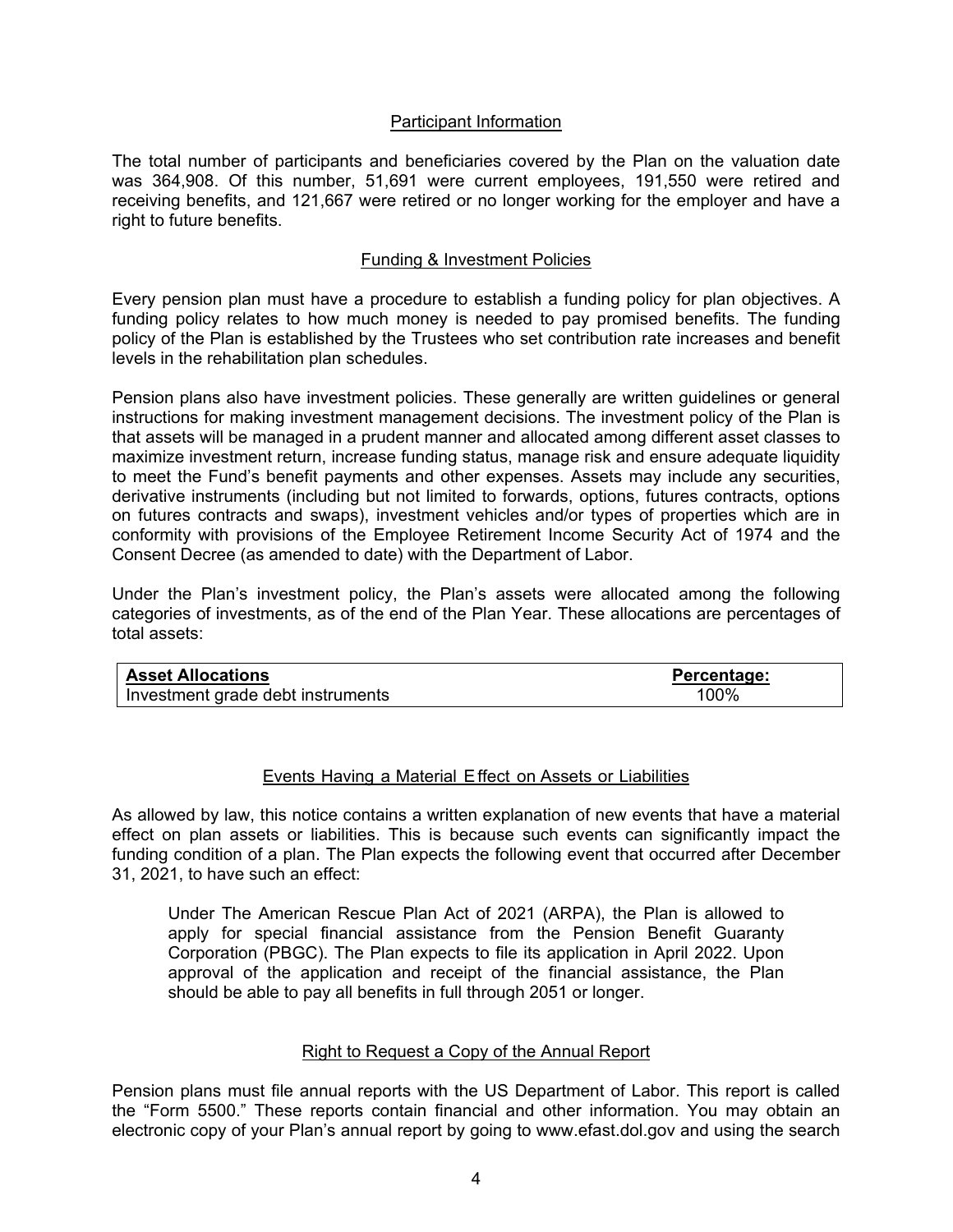### Participant Information

The total number of participants and beneficiaries covered by the Plan on the valuation date was 364,908. Of this number, 51,691 were current employees, 191,550 were retired and receiving benefits, and 121,667 were retired or no longer working for the employer and have a right to future benefits.

### Funding & Investment Policies

Every pension plan must have a procedure to establish a funding policy for plan objectives. A funding policy relates to how much money is needed to pay promised benefits. The funding policy of the Plan is established by the Trustees who set contribution rate increases and benefit levels in the rehabilitation plan schedules.

Pension plans also have investment policies. These generally are written guidelines or general instructions for making investment management decisions. The investment policy of the Plan is that assets will be managed in a prudent manner and allocated among different asset classes to maximize investment return, increase funding status, manage risk and ensure adequate liquidity to meet the Fund's benefit payments and other expenses. Assets may include any securities, derivative instruments (including but not limited to forwards, options, futures contracts, options on futures contracts and swaps), investment vehicles and/or types of properties which are in conformity with provisions of the Employee Retirement Income Security Act of 1974 and the Consent Decree (as amended to date) with the Department of Labor.

Under the Plan's investment policy, the Plan's assets were allocated among the following categories of investments, as of the end of the Plan Year. These allocations are percentages of total assets:

| <b>Asset Allocations</b>          | Percentage: |
|-----------------------------------|-------------|
| Investment grade debt instruments | 100%        |

# Events Having a Material Effect on Assets or Liabilities

As allowed by law, this notice contains a written explanation of new events that have a material effect on plan assets or liabilities. This is because such events can significantly impact the funding condition of a plan. The Plan expects the following event that occurred after December 31, 2021, to have such an effect:

Under The American Rescue Plan Act of 2021 (ARPA), the Plan is allowed to apply for special financial assistance from the Pension Benefit Guaranty Corporation (PBGC). The Plan expects to file its application in April 2022. Upon approval of the application and receipt of the financial assistance, the Plan should be able to pay all benefits in full through 2051 or longer.

# Right to Request a Copy of the Annual Report

Pension plans must file annual reports with the US Department of Labor. This report is called the "Form 5500." These reports contain financial and other information. You may obtain an electronic copy of your Plan's annual report by going to www.efast.dol.gov and using the search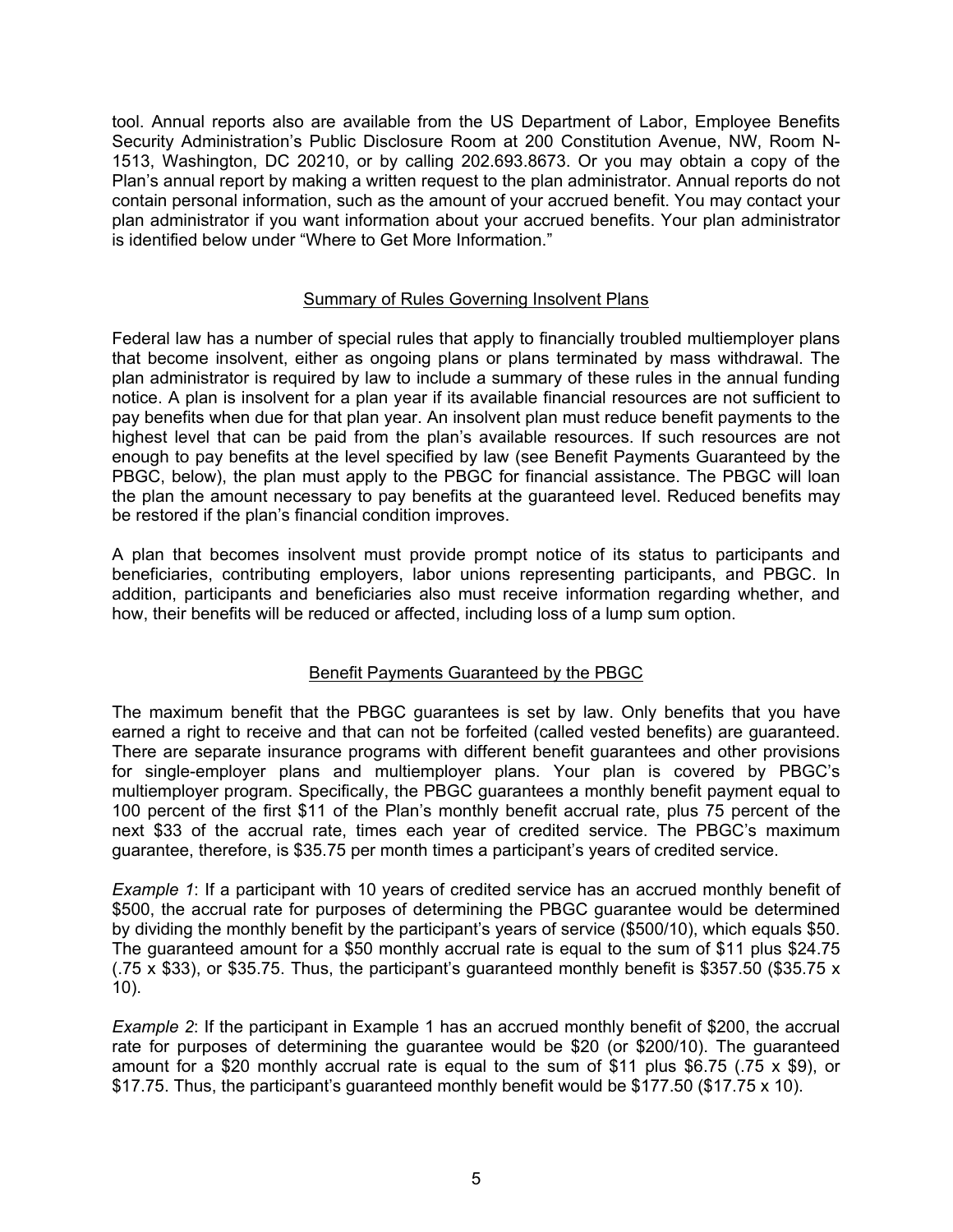tool. Annual reports also are available from the US Department of Labor, Employee Benefits Security Administration's Public Disclosure Room at 200 Constitution Avenue, NW, Room N-1513, Washington, DC 20210, or by calling 202.693.8673. Or you may obtain a copy of the Plan's annual report by making a written request to the plan administrator. Annual reports do not contain personal information, such as the amount of your accrued benefit. You may contact your plan administrator if you want information about your accrued benefits. Your plan administrator is identified below under "Where to Get More Information."

## **Summary of Rules Governing Insolvent Plans**

Federal law has a number of special rules that apply to financially troubled multiemployer plans that become insolvent, either as ongoing plans or plans terminated by mass withdrawal. The plan administrator is required by law to include a summary of these rules in the annual funding notice. A plan is insolvent for a plan year if its available financial resources are not sufficient to pay benefits when due for that plan year. An insolvent plan must reduce benefit payments to the highest level that can be paid from the plan's available resources. If such resources are not enough to pay benefits at the level specified by law (see Benefit Payments Guaranteed by the PBGC, below), the plan must apply to the PBGC for financial assistance. The PBGC will loan the plan the amount necessary to pay benefits at the guaranteed level. Reduced benefits may be restored if the plan's financial condition improves.

A plan that becomes insolvent must provide prompt notice of its status to participants and beneficiaries, contributing employers, labor unions representing participants, and PBGC. In addition, participants and beneficiaries also must receive information regarding whether, and how, their benefits will be reduced or affected, including loss of a lump sum option.

# Benefit Payments Guaranteed by the PBGC

The maximum benefit that the PBGC guarantees is set by law. Only benefits that you have earned a right to receive and that can not be forfeited (called vested benefits) are guaranteed. There are separate insurance programs with different benefit guarantees and other provisions for single-employer plans and multiemployer plans. Your plan is covered by PBGC's multiemployer program. Specifically, the PBGC guarantees a monthly benefit payment equal to 100 percent of the first \$11 of the Plan's monthly benefit accrual rate, plus 75 percent of the next \$33 of the accrual rate, times each year of credited service. The PBGC's maximum guarantee, therefore, is \$35.75 per month times a participant's years of credited service.

*Example 1*: If a participant with 10 years of credited service has an accrued monthly benefit of \$500, the accrual rate for purposes of determining the PBGC guarantee would be determined by dividing the monthly benefit by the participant's years of service (\$500/10), which equals \$50. The guaranteed amount for a \$50 monthly accrual rate is equal to the sum of \$11 plus \$24.75 (.75 x \$33), or \$35.75. Thus, the participant's guaranteed monthly benefit is \$357.50 (\$35.75 x 10).

*Example 2*: If the participant in Example 1 has an accrued monthly benefit of \$200, the accrual rate for purposes of determining the guarantee would be \$20 (or \$200/10). The guaranteed amount for a \$20 monthly accrual rate is equal to the sum of \$11 plus \$6.75 (.75 x \$9), or \$17.75. Thus, the participant's guaranteed monthly benefit would be \$177.50 (\$17.75 x 10).